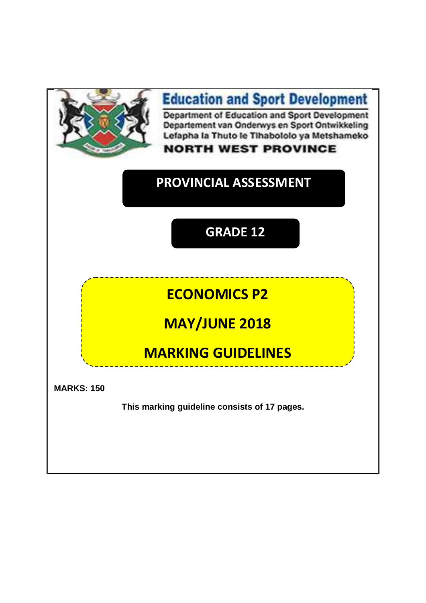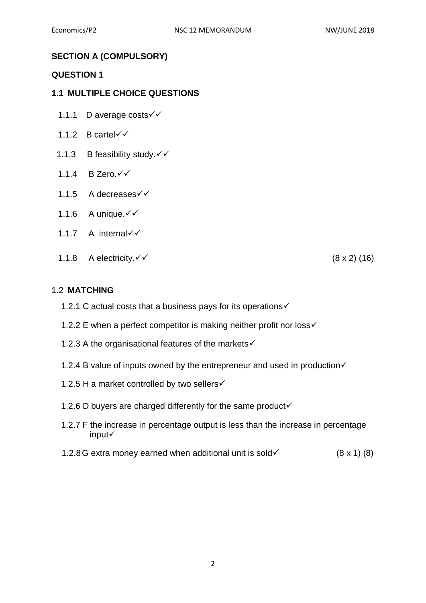# **SECTION A (COMPULSORY)**

#### **QUESTION 1**

#### **1.1 MULTIPLE CHOICE QUESTIONS**

- 1.1.1 D average costs <del>V</del>
- 1.1.2 B cartel $\checkmark$
- 1.1.3 B feasibility study. V
- 1.1.4 B Zero.
- 1.1.5 A decreases
- 1.1.6 A unique.  $\checkmark\checkmark$
- 1.1.7 A internal
- 1.1.8 A electricity.  $\checkmark\checkmark$  (8 x 2) (16)

#### 1.2 **MATCHING**

- 1.2.1 C actual costs that a business pays for its operations√
- 1.2.2 E when a perfect competitor is making neither profit nor loss  $\checkmark$
- 1.2.3 A the organisational features of the markets√
- 1.2.4 B value of inputs owned by the entrepreneur and used in production $\checkmark$
- 1.2.5 H a market controlled by two sellers√
- 1.2.6 D buyers are charged differently for the same product $\checkmark$
- 1.2.7 F the increase in percentage output is less than the increase in percentage input
- 1.2.8G extra money earned when additional unit is sold  $(8 \times 1)$  (8)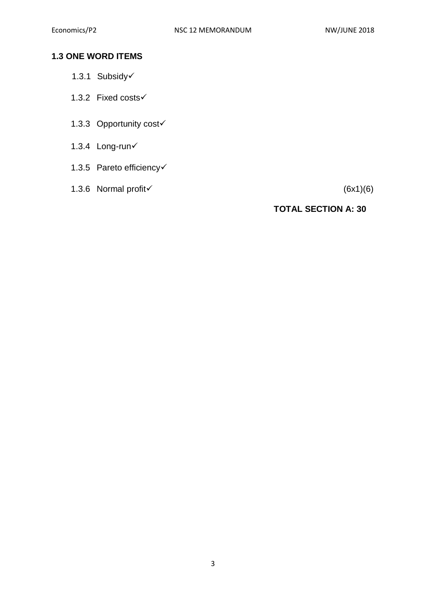# **1.3 ONE WORD ITEMS**

- 1.3.1 Subsidy
- 1.3.2 Fixed costs
- 1.3.3 Opportunity cost
- 1.3.4 Long-run
- 1.3.5 Pareto efficiency
- 1.3.6 Normal profit  $(6x1)(6)$

# **TOTAL SECTION A: 30**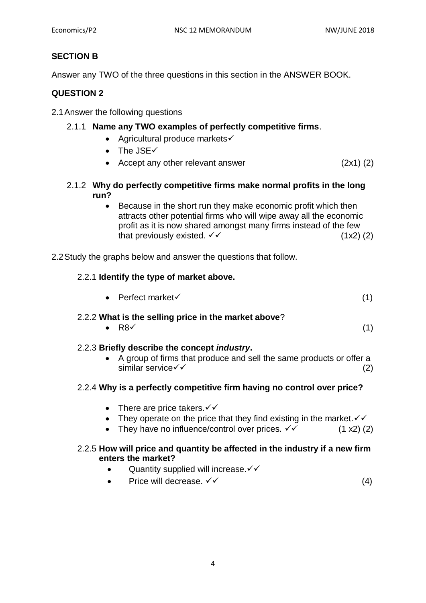# **SECTION B**

Answer any TWO of the three questions in this section in the ANSWER BOOK.

# **QUESTION 2**

2.1Answer the following questions

# 2.1.1 **Name any TWO examples of perfectly competitive firms**.

- Agricultural produce markets $\checkmark$
- $\bullet$  The JSE $\checkmark$
- Accept any other relevant answer (2x1) (2)
- 2.1.2 **Why do perfectly competitive firms make normal profits in the long run?**
	- Because in the short run they make economic profit which then attracts other potential firms who will wipe away all the economic profit as it is now shared amongst many firms instead of the few that previously existed.  $\checkmark$  (1x2) (2)

2.2Study the graphs below and answer the questions that follow.

#### 2.2.1 **Identify the type of market above.**

|  | • Perfect market $\checkmark$ |  |  |
|--|-------------------------------|--|--|
|--|-------------------------------|--|--|

#### 2.2.2 **What is the selling price in the market above**?

• R8 $\checkmark$  (1)

#### 2.2.3 **Briefly describe the concept** *industry***.**

• A group of firms that produce and sell the same products or offer a  $\sin$ ilar service  $\checkmark$  (2)

#### 2.2.4 **Why is a perfectly competitive firm having no control over price?**

- There are price takers. $\checkmark\checkmark$
- They operate on the price that they find existing in the market.  $\checkmark\checkmark$
- They have no influence/control over prices.  $\checkmark$  (1 x2) (2)

#### 2.2.5 **How will price and quantity be affected in the industry if a new firm enters the market?**

- Quantity supplied will increase. $\checkmark\checkmark$
- Price will decrease.  $\checkmark\checkmark$  (4)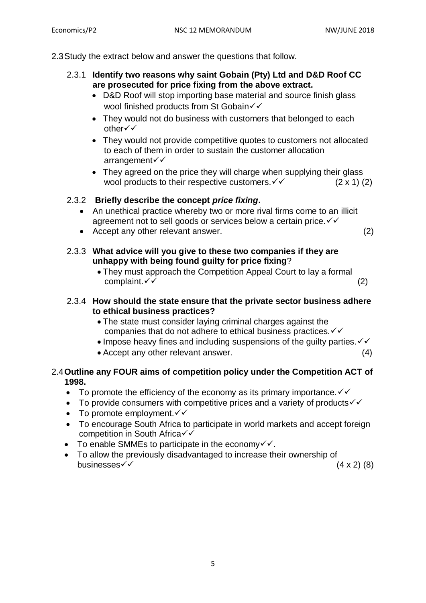2.3Study the extract below and answer the questions that follow.

- 2.3.1 **Identify two reasons why saint Gobain (Pty) Ltd and D&D Roof CC are prosecuted for price fixing from the above extract.**
	- D&D Roof will stop importing base material and source finish glass wool finished products from St Gobain√√
	- They would not do business with customers that belonged to each other
	- They would not provide competitive quotes to customers not allocated to each of them in order to sustain the customer allocation arrangement
	- They agreed on the price they will charge when supplying their glass wool products to their respective customers.  $\checkmark \checkmark$  (2 x 1) (2)

## 2.3.2 **Briefly describe the concept** *price fixing***.**

- An unethical practice whereby two or more rival firms come to an illicit agreement not to sell goods or services below a certain price.  $\checkmark\checkmark$
- Accept any other relevant answer. (2)
- 2.3.3 **What advice will you give to these two companies if they are unhappy with being found guilty for price fixing**?
	- They must approach the Competition Appeal Court to lay a formal  $complain t. \checkmark$  (2)
- 2.3.4 **How should the state ensure that the private sector business adhere to ethical business practices?**
	- The state must consider laying criminal charges against the companies that do not adhere to ethical business practices.  $\checkmark\checkmark$
	- $\bullet$  Impose heavy fines and including suspensions of the quilty parties.  $\checkmark\checkmark$
	- Accept any other relevant answer. (4)

## 2.4**Outline any FOUR aims of competition policy under the Competition ACT of 1998.**

- To promote the efficiency of the economy as its primary importance.  $\checkmark\checkmark$
- To provide consumers with competitive prices and a variety of products  $\checkmark\checkmark$
- To promote employment. $\checkmark\checkmark$
- To encourage South Africa to participate in world markets and accept foreign competition in South Africa√√
- To enable SMMEs to participate in the economy $\checkmark\checkmark$ .
- To allow the previously disadvantaged to increase their ownership of businesses  $\checkmark$  (4 x 2) (8)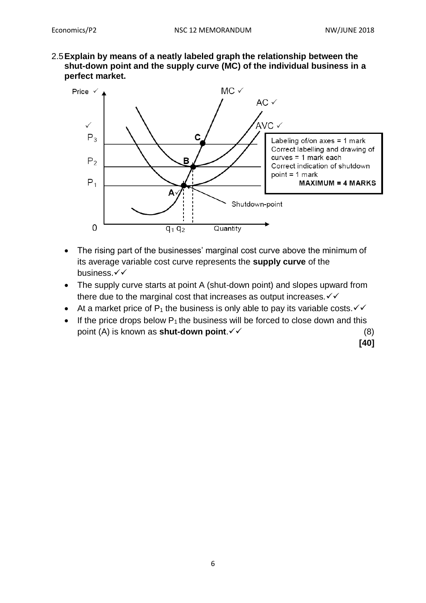2.5**Explain by means of a neatly labeled graph the relationship between the shut-down point and the supply curve (MC) of the individual business in a perfect market.**



- The rising part of the businesses' marginal cost curve above the minimum of its average variable cost curve represents the **supply curve** of the business.√√
- The supply curve starts at point A (shut-down point) and slopes upward from there due to the marginal cost that increases as output increases.  $\checkmark\checkmark$
- At a market price of  $P_1$  the business is only able to pay its variable costs.  $\checkmark\checkmark$
- If the price drops below  $P_1$  the business will be forced to close down and this point (A) is known as **shut-down point**.  $\checkmark$  (8)

**[40]**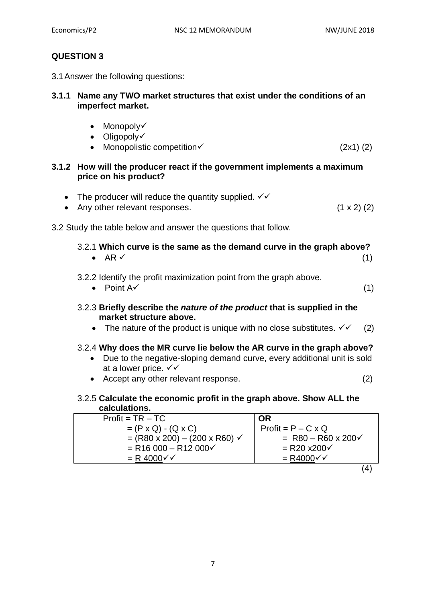# **QUESTION 3**

3.1Answer the following questions:

### **3.1.1 Name any TWO market structures that exist under the conditions of an imperfect market.**

- $\bullet$  Monopoly $\checkmark$
- Oligopoly
- Monopolistic competition  $(2x1)(2)$

## **3.1.2 How will the producer react if the government implements a maximum price on his product?**

| The producer will reduce the quantity supplied. $\checkmark\checkmark$                                                                                                                                                         |  |
|--------------------------------------------------------------------------------------------------------------------------------------------------------------------------------------------------------------------------------|--|
| A second consideration of the construction of the second second second second second second second second second second second second second second second second second second second second second second second second seco |  |

• Any other relevant responses.  $(1 \times 2)$   $(2)$ 

3.2 Study the table below and answer the questions that follow.

## 3.2.1 **Which curve is the same as the demand curve in the graph above?** • AR  $\checkmark$  (1)

## 3.2.2 Identify the profit maximization point from the graph above.

- Point  $A \checkmark$  (1)
- 3.2.3 **Briefly describe the** *nature of the product* **that is supplied in the market structure above.**
	- The nature of the product is unique with no close substitutes.  $\checkmark$  (2)

# 3.2.4 **Why does the MR curve lie below the AR curve in the graph above?**

- Due to the negative-sloping demand curve, every additional unit is sold at a lower price.  $\checkmark\checkmark$
- Accept any other relevant response. (2)

#### 3.2.5 **Calculate the economic profit in the graph above. Show ALL the calculations.**

| $Profit = TR - TC$                                         | <b>OR</b>                 |
|------------------------------------------------------------|---------------------------|
| $= (P \times Q) - (Q \times C)$                            | $Profit = P - C \times Q$ |
| $= (R80 \times 200) - (200 \times R60)$                    | = $R80 - R60 \times 200$  |
| $=$ R <sub>16</sub> 000 – R <sub>12</sub> 000 $\checkmark$ | $=$ R20 x200 $\checkmark$ |
| $= R 4000 \checkmark$                                      | $= R4000 \checkmark$      |
|                                                            |                           |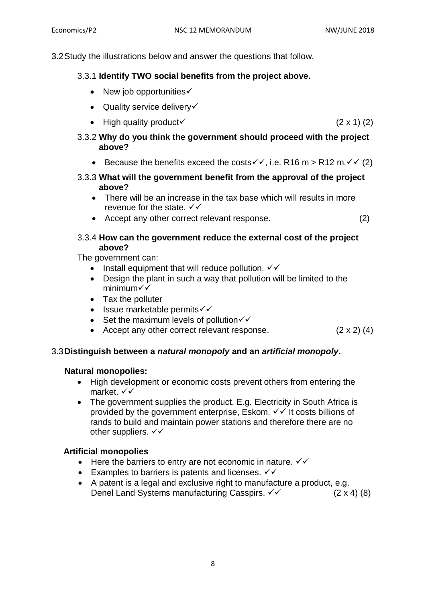3.2Study the illustrations below and answer the questions that follow.

# 3.3.1 **Identify TWO social benefits from the project above.**

- $\bullet$  New job opportunities $\checkmark$
- $\bullet$  Quality service delivery $\checkmark$
- High quality product  $(2 \times 1)$  (2)
- 3.3.2 **Why do you think the government should proceed with the project above?** 
	- Because the benefits exceed the costs  $\checkmark$ , i.e. R16 m > R12 m. $\checkmark$  (2)
- 3.3.3 **What will the government benefit from the approval of the project above?** 
	- There will be an increase in the tax base which will results in more revenue for the state.  $\checkmark\checkmark$
	- Accept any other correct relevant response. (2)

# 3.3.4 **How can the government reduce the external cost of the project above?**

The government can:

- Install equipment that will reduce pollution.  $\checkmark\checkmark$
- Design the plant in such a way that pollution will be limited to the minimum
- Tax the polluter
- $\bullet$  Issue marketable permits $\checkmark\checkmark$
- Set the maximum levels of pollution  $\checkmark\checkmark$
- Accept any other correct relevant response.  $(2 \times 2)$  (4)

# 3.3**Distinguish between a** *natural monopoly* **and an** *artificial monopoly***.**

# **Natural monopolies:**

- High development or economic costs prevent others from entering the market. √√
- The government supplies the product. E.g. Electricity in South Africa is provided by the government enterprise, Eskom.  $\checkmark\checkmark$  it costs billions of rands to build and maintain power stations and therefore there are no other suppliers.  $\checkmark\checkmark$

# **Artificial monopolies**

- $\bullet$  Here the barriers to entry are not economic in nature.  $\checkmark\checkmark$
- Examples to barriers is patents and licenses.  $\checkmark\checkmark$
- A patent is a legal and exclusive right to manufacture a product, e.g. Denel Land Systems manufacturing Casspirs.  $\checkmark$  (2 x 4) (8)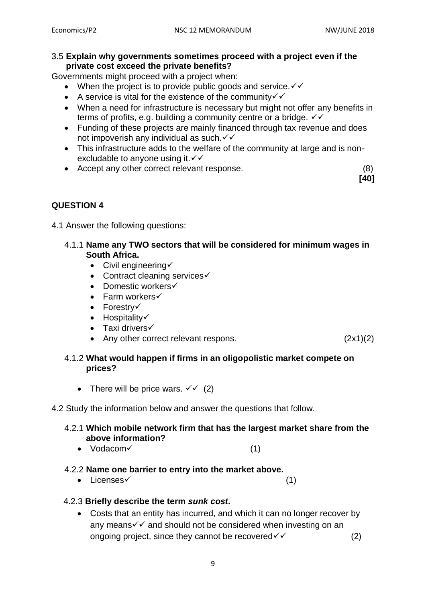**[40]**

#### 3.5 **Explain why governments sometimes proceed with a project even if the private cost exceed the private benefits?**

Governments might proceed with a project when:

- When the project is to provide public goods and service.  $\checkmark\checkmark$
- A service is vital for the existence of the community  $\checkmark$
- When a need for infrastructure is necessary but might not offer any benefits in terms of profits, e.g. building a community centre or a bridge.  $\checkmark\checkmark$
- Funding of these projects are mainly financed through tax revenue and does not impoverish any individual as such.  $\checkmark\checkmark$
- This infrastructure adds to the welfare of the community at large and is nonexcludable to anyone using it.  $\checkmark\checkmark$
- Accept any other correct relevant response. (8)

# **QUESTION 4**

4.1 Answer the following questions:

# 4.1.1 **Name any TWO sectors that will be considered for minimum wages in South Africa.**

- $\bullet$  Civil engineering  $\checkmark$
- Contract cleaning services $\checkmark$
- Domestic workers $\checkmark$
- $\bullet$  Farm workers $\checkmark$
- $\bullet$  Forestry $\checkmark$
- $\bullet$  Hospitality $\checkmark$
- $\bullet$  Taxi drivers $\checkmark$
- Any other correct relevant respons. (2x1)(2)

# 4.1.2 **What would happen if firms in an oligopolistic market compete on prices?**

• There will be price wars.  $\checkmark\checkmark$  (2)

# 4.2 Study the information below and answer the questions that follow.

## 4.2.1 **Which mobile network firm that has the largest market share from the above information?**

•  $Vodacom \qquad (1)$ 

# 4.2.2 **Name one barrier to entry into the market above.**

• Licenses  $(1)$ 

# 4.2.3 **Briefly describe the term** *sunk cost***.**

 Costs that an entity has incurred, and which it can no longer recover by any means  $\checkmark\checkmark$  and should not be considered when investing on an ongoing project, since they cannot be recovered  $\checkmark$  (2)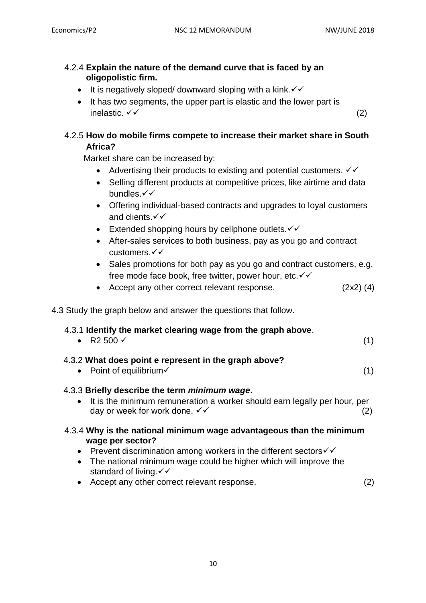## 4.2.4 **Explain the nature of the demand curve that is faced by an oligopolistic firm.**

- It is negatively sloped/ downward sloping with a kink.  $\checkmark\checkmark$
- It has two segments, the upper part is elastic and the lower part is inelastic.  $\checkmark\checkmark$  (2)

# 4.2.5 **How do mobile firms compete to increase their market share in South Africa?**

Market share can be increased by:

- Advertising their products to existing and potential customers.  $\checkmark\checkmark$
- Selling different products at competitive prices, like airtime and data bundles. $\checkmark\checkmark$
- Offering individual-based contracts and upgrades to loyal customers and clients. $\checkmark\checkmark$
- Extended shopping hours by cellphone outlets.  $\checkmark\checkmark$
- After-sales services to both business, pay as you go and contract customers. <del>√</del>
- Sales promotions for both pay as you go and contract customers, e.g. free mode face book, free twitter, power hour, etc. v v
- Accept any other correct relevant response. (2x2) (4)

4.3 Study the graph below and answer the questions that follow.

standard of living.  $\checkmark\checkmark$ 

| 4.3.1 Identify the market clearing wage from the graph above.<br>• R2 500 $\checkmark$                                                                                                                                                                            | (1) |
|-------------------------------------------------------------------------------------------------------------------------------------------------------------------------------------------------------------------------------------------------------------------|-----|
| 4.3.2 What does point e represent in the graph above?<br>• Point of equilibrium $\checkmark$                                                                                                                                                                      | (1) |
| 4.3.3 Briefly describe the term <i>minimum wage.</i><br>• It is the minimum remuneration a worker should earn legally per hour, per<br>day or week for work done. √√                                                                                              | (2) |
| 4.3.4 Why is the national minimum wage advantageous than the minimum<br>wage per sector?<br>Prevent discrimination among workers in the different sectors $\checkmark\checkmark$<br>$\bullet$<br>The national minimum wage could be higher which will improve the |     |

Accept any other correct relevant response. (2)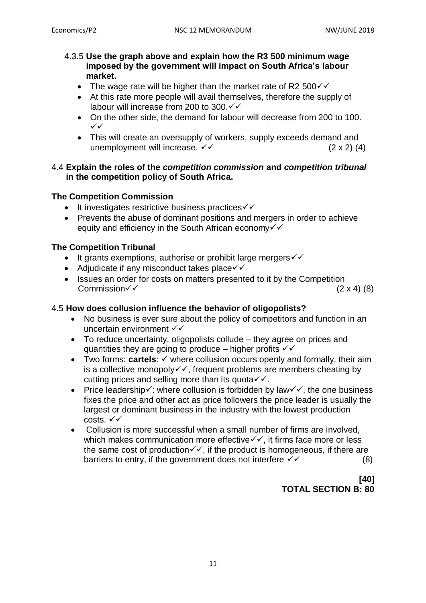#### 4.3.5 **Use the graph above and explain how the R3 500 minimum wage imposed by the government will impact on South Africa's labour market.**

- The wage rate will be higher than the market rate of R2 500 $\checkmark$
- At this rate more people will avail themselves, therefore the supply of labour will increase from 200 to 300. $\checkmark\checkmark$
- On the other side, the demand for labour will decrease from 200 to 100.  $\checkmark$
- This will create an oversupply of workers, supply exceeds demand and unemployment will increase.  $\checkmark\checkmark$  (2 x 2) (4)

### 4.4 **Explain the roles of the** *competition commission* **and** *competition tribunal*  **in the competition policy of South Africa.**

## **The Competition Commission**

- $\bullet$  It investigates restrictive business practices  $\checkmark\checkmark$
- Prevents the abuse of dominant positions and mergers in order to achieve equity and efficiency in the South African economy  $\checkmark$

# **The Competition Tribunal**

- $\bullet$  It grants exemptions, authorise or prohibit large mergers  $\checkmark\checkmark$
- Adjudicate if any misconduct takes place $\checkmark\checkmark$
- Issues an order for costs on matters presented to it by the Competition Commission  $\sqrt{ }$  (2 x 4) (8)

# 4.5 **How does collusion influence the behavior of oligopolists?**

- No business is ever sure about the policy of competitors and function in an uncertain environment √√
- To reduce uncertainty, oligopolists collude they agree on prices and quantities they are going to produce – higher profits  $\checkmark\checkmark$
- Two forms:  $cartels: \checkmark$  where collusion occurs openly and formally, their aim is a collective monopoly $\checkmark\checkmark$ , frequent problems are members cheating by cutting prices and selling more than its quota $\checkmark\checkmark$ .
- Price leadership $\checkmark$ : where collusion is forbidden by law $\checkmark\checkmark$ , the one business fixes the price and other act as price followers the price leader is usually the largest or dominant business in the industry with the lowest production costs.  $\checkmark\checkmark$
- Collusion is more successful when a small number of firms are involved, which makes communication more effective  $\checkmark\checkmark$ , it firms face more or less the same cost of production $\checkmark\checkmark$ , if the product is homogeneous, if there are barriers to entry, if the government does not interfere  $\checkmark$  (8)

# **[40] TOTAL SECTION B: 80**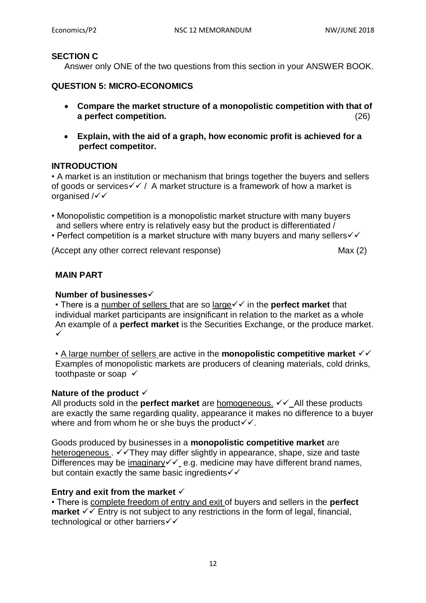#### **SECTION C**

Answer only ONE of the two questions from this section in your ANSWER BOOK.

#### **QUESTION 5: MICRO-ECONOMICS**

- **Compare the market structure of a monopolistic competition with that of a perfect competition.** (26)
- **Explain, with the aid of a graph, how economic profit is achieved for a perfect competitor.**

#### **INTRODUCTION**

• A market is an institution or mechanism that brings together the buyers and sellers of goods or services  $\sqrt{\sqrt{}}$  A market structure is a framework of how a market is organised  $\sqrt{\checkmark}$ 

• Monopolistic competition is a monopolistic market structure with many buyers and sellers where entry is relatively easy but the product is differentiated /

• Perfect competition is a market structure with many buyers and many sellers $\checkmark\checkmark$ 

(Accept any other correct relevant response) Max (2)

#### **MAIN PART**

#### **Number of businesses**

• There is a number of sellers that are so large $\checkmark$  in the **perfect market** that individual market participants are insignificant in relation to the market as a whole An example of a **perfect market** is the Securities Exchange, or the produce market.  $\checkmark$ 

• A large number of sellers are active in the **monopolistic competitive market**  $\checkmark\checkmark$ Examples of monopolistic markets are producers of cleaning materials, cold drinks, toothpaste or soap

#### **Nature of the product**

All products sold in the **perfect market** are homogeneous.  $\checkmark\text{}$  All these products are exactly the same regarding quality, appearance it makes no difference to a buyer where and from whom he or she buys the product  $\checkmark\cdot\checkmark$ .

Goods produced by businesses in a **monopolistic competitive market** are heterogeneous .  $\checkmark\checkmark$ They may differ slightly in appearance, shape, size and taste Differences may be imaginary  $\checkmark$  e.g. medicine may have different brand names, but contain exactly the same basic ingredients  $\checkmark\checkmark$ 

#### **Entry and exit from the market**

• There is complete freedom of entry and exit of buyers and sellers in the **perfect market**  $\checkmark$  Entry is not subject to any restrictions in the form of legal, financial, technological or other barriers√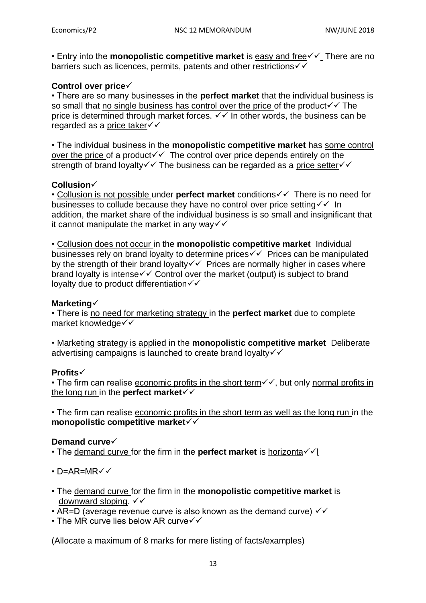• Entry into the **monopolistic competitive market** is easy and free  $\checkmark\text{-}$  There are no barriers such as licences, permits, patents and other restrictions  $\checkmark$ 

# **Control over price**

• There are so many businesses in the **perfect market** that the individual business is so small that no single business has control over the price of the product  $\checkmark\checkmark$  The price is determined through market forces.  $\checkmark$  in other words, the business can be regarded as a price taker

• The individual business in the **monopolistic competitive market** has some control over the price of a product  $\checkmark$  The control over price depends entirely on the strength of brand loyalty  $\checkmark\checkmark$  The business can be regarded as a price setter  $\checkmark\checkmark$ 

#### **Collusion**

• Collusion is not possible under **perfect market** conditions  $\checkmark\checkmark$  There is no need for businesses to collude because they have no control over price setting  $\checkmark$  In addition, the market share of the individual business is so small and insignificant that it cannot manipulate the market in any way  $\checkmark$ 

• Collusion does not occur in the **monopolistic competitive market** Individual businesses rely on brand loyalty to determine prices  $\checkmark\checkmark$  Prices can be manipulated by the strength of their brand lovalty  $\checkmark$  Prices are normally higher in cases where brand loyalty is intense  $\checkmark\checkmark$  Control over the market (output) is subject to brand loyalty due to product differentiation  $\checkmark$ 

#### **Marketing**

• There is no need for marketing strategy in the **perfect market** due to complete market knowledge

• Marketing strategy is applied in the **monopolistic competitive market** Deliberate advertising campaigns is launched to create brand loyalty  $\checkmark$ 

#### **Profits**

• The firm can realise economic profits in the short term $\checkmark$ , but only normal profits in the long run in the **perfect market**

• The firm can realise economic profits in the short term as well as the long run in the **monopolistic competitive market**

#### **Demand curve**

- The demand curve for the firm in the **perfect market** is horizonta $\checkmark$
- $\cdot$  D=AR=MR $\checkmark$
- The demand curve for the firm in the **monopolistic competitive market** is downward sloping.  $\checkmark\checkmark$
- AR=D (average revenue curve is also known as the demand curve)  $\checkmark\checkmark$
- $\cdot$  The MR curve lies below AR curve $\checkmark\checkmark$

(Allocate a maximum of 8 marks for mere listing of facts/examples)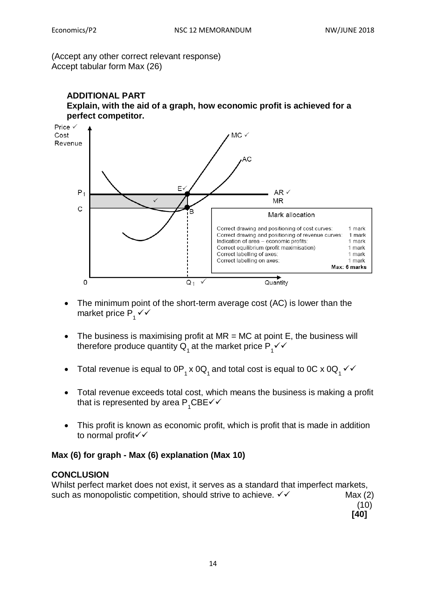(Accept any other correct relevant response) Accept tabular form Max (26)





- The minimum point of the short-term average cost (AC) is lower than the market price  $P_1$   $\checkmark$
- The business is maximising profit at  $MR = MC$  at point E, the business will therefore produce quantity  ${\sf Q}^{}_{_1}$  at the market price  ${\sf P}^{}_{_1}\checkmark\checkmark$
- Total revenue is equal to 0P<sub>1</sub> x 0Q<sub>1</sub> and total cost is equal to 0C x 0Q<sub>1</sub>  $\checkmark$
- Total revenue exceeds total cost, which means the business is making a profit that is represented by area  $\mathsf{P}_{\mathsf{1}}\mathsf{CBE}\mathsf{V}\mathsf{V}$
- This profit is known as economic profit, which is profit that is made in addition to normal profit√√

# **Max (6) for graph - Max (6) explanation (Max 10)**

#### **CONCLUSION**

Whilst perfect market does not exist, it serves as a standard that imperfect markets, such as monopolistic competition, should strive to achieve.  $\checkmark\checkmark$  Max (2)  $(10)$ 

 **[40]**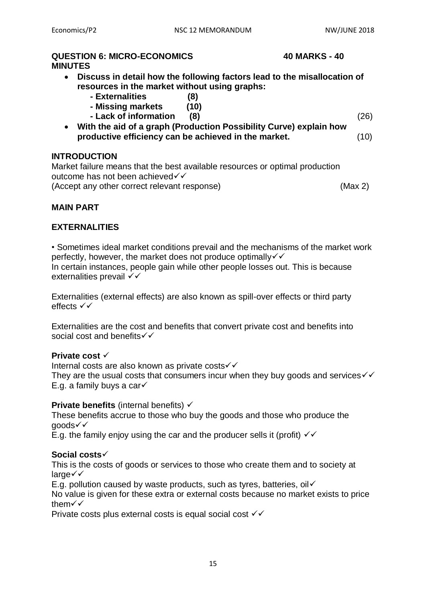# **QUESTION 6: MICRO-ECONOMICS 40 MARKS - 40 MINUTES**

- **Discuss in detail how the following factors lead to the misallocation of resources in the market without using graphs:** 
	- **- Externalities (8)**
	- **- Missing markets (10)**
	- **- Lack of information (8)** (26)
- 
- **With the aid of a graph (Production Possibility Curve) explain how productive efficiency can be achieved in the market.** (10)

## **INTRODUCTION**

Market failure means that the best available resources or optimal production outcome has not been achieved√√ (Accept any other correct relevant response) (Max 2)

# **MAIN PART**

## **EXTERNALITIES**

• Sometimes ideal market conditions prevail and the mechanisms of the market work perfectly, however, the market does not produce optimally  $\checkmark$ In certain instances, people gain while other people losses out. This is because externalities prevail  $\checkmark$ 

Externalities (external effects) are also known as spill-over effects or third party effects  $\checkmark\checkmark$ 

Externalities are the cost and benefits that convert private cost and benefits into social cost and benefits  $\checkmark\checkmark$ 

#### **Private cost**

Internal costs are also known as private costs

They are the usual costs that consumers incur when they buy goods and services  $\checkmark\checkmark$ E.g. a family buys a car $\checkmark$ 

#### **Private benefits** (internal benefits)  $\checkmark$

These benefits accrue to those who buy the goods and those who produce the goods

E.g. the family enjoy using the car and the producer sells it (profit)  $\checkmark$ 

### **Social costs**

This is the costs of goods or services to those who create them and to society at  $l$ arge $\checkmark$ 

E.g. pollution caused by waste products, such as tyres, batteries, oil  $\checkmark$ 

No value is given for these extra or external costs because no market exists to price them

Private costs plus external costs is equal social cost √√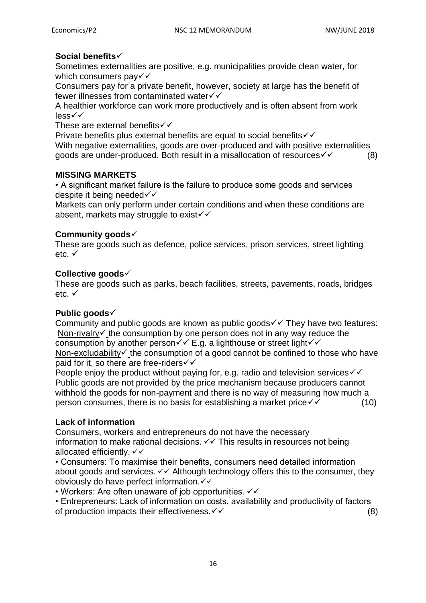# **Social benefits**

Sometimes externalities are positive, e.g. municipalities provide clean water, for which consumers pay  $\checkmark\checkmark$ 

Consumers pay for a private benefit, however, society at large has the benefit of fewer illnesses from contaminated water√√

A healthier workforce can work more productively and is often absent from work less

These are external benefits  $\checkmark\checkmark$ 

Private benefits plus external benefits are equal to social benefits  $\checkmark\checkmark$ With negative externalities, goods are over-produced and with positive externalities goods are under-produced. Both result in a misallocation of resources  $\checkmark$  (8)

#### **MISSING MARKETS**

• A significant market failure is the failure to produce some goods and services despite it being needed√√

Markets can only perform under certain conditions and when these conditions are absent, markets may struggle to exist $\checkmark$ 

## **Community goods**

These are goods such as defence, police services, prison services, street lighting  $etc.$   $\checkmark$ 

#### **Collective goods**

These are goods such as parks, beach facilities, streets, pavements, roads, bridges etc. √

#### **Public goods**

Community and public goods are known as public goods  $\checkmark\checkmark$  They have two features: Non-rivalry  $\checkmark$  the consumption by one person does not in any way reduce the consumption by another person $\checkmark\checkmark$  E.g. a lighthouse or street light $\checkmark\checkmark$ Non-excludability  $\checkmark$  the consumption of a good cannot be confined to those who have paid for it, so there are free-riders√√

People enjoy the product without paying for, e.g. radio and television services  $\checkmark$ Public goods are not provided by the price mechanism because producers cannot withhold the goods for non-payment and there is no way of measuring how much a person consumes, there is no basis for establishing a market price  $\checkmark$  (10)

#### **Lack of information**

Consumers, workers and entrepreneurs do not have the necessary information to make rational decisions.  $\checkmark\checkmark$  This results in resources not being allocated efficiently,  $\checkmark\checkmark$ 

• Consumers: To maximise their benefits, consumers need detailed information about goods and services.  $\checkmark\checkmark$  Although technology offers this to the consumer, they obviously do have perfect information.

• Workers: Are often unaware of job opportunities.  $\checkmark\checkmark$ 

• Entrepreneurs: Lack of information on costs, availability and productivity of factors of production impacts their effectiveness.  $\checkmark$   $\checkmark$  (8)